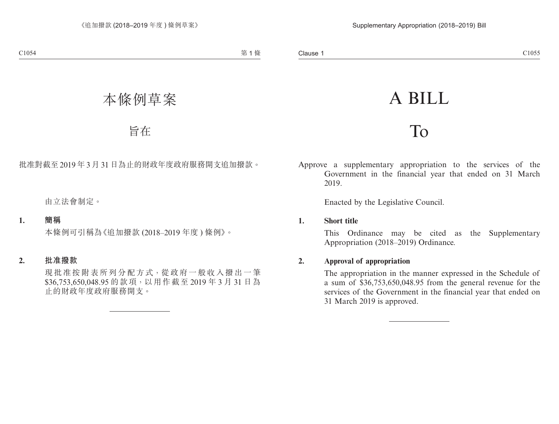# A BILL

## To

Approve a supplementary appropriation to the services of the Government in the financial year that ended on 31 March 2019.

Enacted by the Legislative Council.

#### **1. Short title**

This Ordinance may be cited as the Supplementary Appropriation (2018–2019) Ordinance.

## **2. Approval of appropriation**

The appropriation in the manner expressed in the Schedule of a sum of \$36,753,650,048.95 from the general revenue for the services of the Government in the financial year that ended on 31 March 2019 is approved.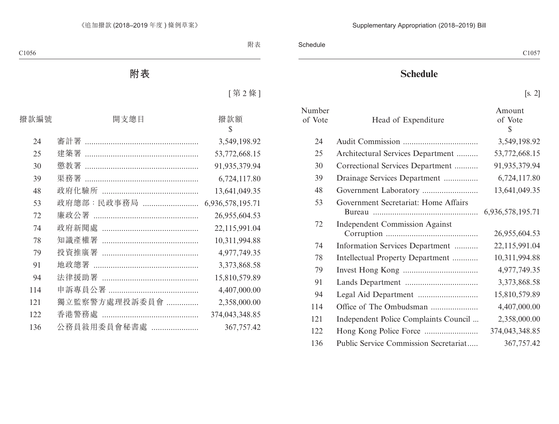## **Schedule**

[s. 2]

| Number  |                                       | Amount         |
|---------|---------------------------------------|----------------|
| of Vote | Head of Expenditure                   | of Vote<br>\$  |
| 24      |                                       | 3,549,198.92   |
| 25      | Architectural Services Department     | 53,772,668.15  |
| 30      | Correctional Services Department      | 91,935,379.94  |
| 39      | Drainage Services Department          | 6,724,117.80   |
| 48      |                                       | 13,641,049.35  |
| 53      | Government Secretariat: Home Affairs  |                |
| 72      | <b>Independent Commission Against</b> | 26,955,604.53  |
| 74      | Information Services Department       | 22,115,991.04  |
| 78      | Intellectual Property Department      | 10,311,994.88  |
| 79      |                                       | 4,977,749.35   |
| 91      |                                       | 3,373,868.58   |
| 94      |                                       | 15,810,579.89  |
| 114     |                                       | 4,407,000.00   |
| 121     | Independent Police Complaints Council | 2,358,000.00   |
| 122     |                                       | 374,043,348.85 |
| 136     | Public Service Commission Secretariat | 367,757.42     |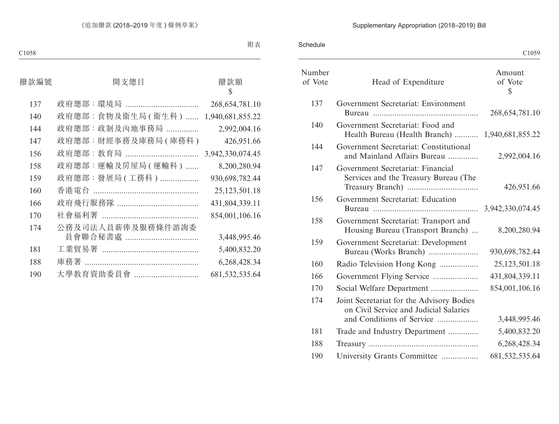## Supplementary Appropriation (2018–2019) Bill

Schedule

C<sub>1059</sub> C<sub>1059</sub> C<sub>1059</sub>

| Number<br>of Vote | Head of Expenditure                                                                                              | Amount<br>of Vote<br>\$ |
|-------------------|------------------------------------------------------------------------------------------------------------------|-------------------------|
| 137               | Government Secretariat: Environment                                                                              | 268, 654, 781. 10       |
| 140               | Government Secretariat: Food and<br>Health Bureau (Health Branch)  1,940,681,855.22                              |                         |
| 144               | Government Secretariat: Constitutional<br>and Mainland Affairs Bureau                                            | 2,992,004.16            |
| 147               | Government Secretariat: Financial<br>Services and the Treasury Bureau (The                                       | 426,951.66              |
| 156               | Government Secretariat: Education                                                                                |                         |
| 158               | Government Secretariat: Transport and<br>Housing Bureau (Transport Branch)                                       | 8,200,280.94            |
| 159               | Government Secretariat: Development<br>Bureau (Works Branch)                                                     | 930,698,782.44          |
| 160               | Radio Television Hong Kong                                                                                       | 25,123,501.18           |
| 166               | Government Flying Service                                                                                        | 431,804,339.11          |
| 170               | Social Welfare Department                                                                                        | 854,001,106.16          |
| 174               | Joint Secretariat for the Advisory Bodies<br>on Civil Service and Judicial Salaries<br>and Conditions of Service | 3,448,995.46            |
| 181               |                                                                                                                  | 5,400,832.20            |
| 188               | Trade and Industry Department                                                                                    | 6,268,428.34            |
| 190               |                                                                                                                  |                         |
|                   | University Grants Committee                                                                                      | 681, 532, 535. 64       |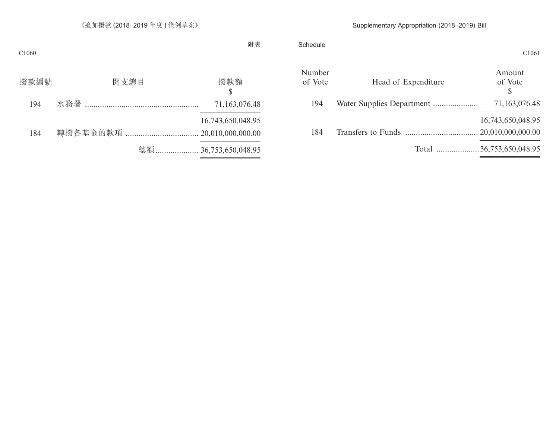## Supplementary Appropriation (2018–2019) Bill

|                           | Schedule          |
|---------------------------|-------------------|
| Head of Expenditure       | Number<br>of Vote |
| Water Supplies Department | 194               |
|                           | 184               |
| Total 36,753,650,048.95   |                   |
|                           |                   |